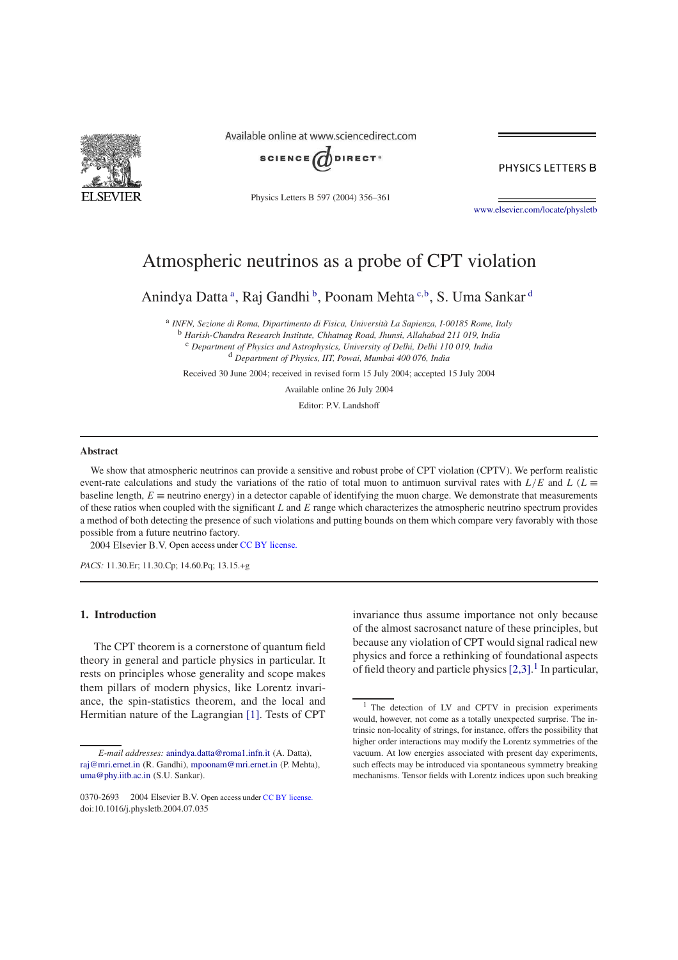

Available online at www.sciencedirect.com



PHYSICS LETTERS B

Physics Letters B 597 (2004) 356–361

www.elsevier.com/locate/physletb

# Atmospheric neutrinos as a probe of CPT violation

Anindya Datta<sup>a</sup>, Raj Gandhi<sup>b</sup>, Poonam Mehta<sup>c,b</sup>, S. Uma Sankar<sup>d</sup>

a *INFN, Sezione di Roma, Dipartimento di Fisica, Università La Sapienza, I-00185 Rome, Italy* <sup>b</sup> *Harish-Chandra Research Institute, Chhatnag Road, Jhunsi, Allahabad 211 019, India* <sup>c</sup> *Department of Physics and Astrophysics, University of Delhi, Delhi 110 019, India* <sup>d</sup> *Department of Physics, IIT, Powai, Mumbai 400 076, India*

Received 30 June 2004; received in revised form 15 July 2004; accepted 15 July 2004

Available online 26 July 2004

Editor: P.V. Landshoff

#### **Abstract**

We show that atmospheric neutrinos can provide a sensitive and robust probe of CPT violation (CPTV). We perform realistic event-rate calculations and study the variations of the ratio of total muon to antimuon survival rates with  $L/E$  and  $L(L \equiv$ baseline length,  $E \equiv$  neutrino energy) in a detector capable of identifying the muon charge. We demonstrate that measurements of these ratios when coupled with the significant L and E range which characterizes the atmospheric neutrino spectrum provides a method of both detecting the presence of such violations and putting bounds on them which compare very favorably with those possible from a future neutrino factory.

2004 Elsevier B.V. Open access under CC BY license.

*PACS:* 11.30.Er; 11.30.Cp; 14.60.Pq; 13.15.+g

## **1. Introduction**

The CPT theorem is a cornerstone of quantum field theory in general and particle physics in particular. It rests on principles whose generality and scope makes them pillars of modern physics, like Lorentz invariance, the spin-statistics theorem, and the local and Hermitian nature of the Lagrangian [1]. Tests of CPT invariance thus assume importance not only because of the almost sacrosanct nature of these principles, but because any violation of CPT would signal radical new physics and force a rethinking of foundational aspects of field theory and particle physics  $[2,3]$ .<sup>1</sup> In particular,

*E-mail addresses:* anindya.datta@roma1.infn.it (A. Datta), raj@mri.ernet.in (R. Gandhi), mpoonam@mri.ernet.in (P. Mehta), uma@phy.iitb.ac.in (S.U. Sankar).

<sup>0370-2693 © 2004</sup> Elsevier B.V. Open access under CC BY license. doi:10.1016/j.physletb.2004.07.035

<sup>&</sup>lt;sup>1</sup> The detection of LV and CPTV in precision experiments would, however, not come as a totally unexpected surprise. The intrinsic non-locality of strings, for instance, offers the possibility that higher order interactions may modify the Lorentz symmetries of the vacuum. At low energies associated with present day experiments, such effects may be introduced via spontaneous symmetry breaking mechanisms. Tensor fields with Lorentz indices upon such breaking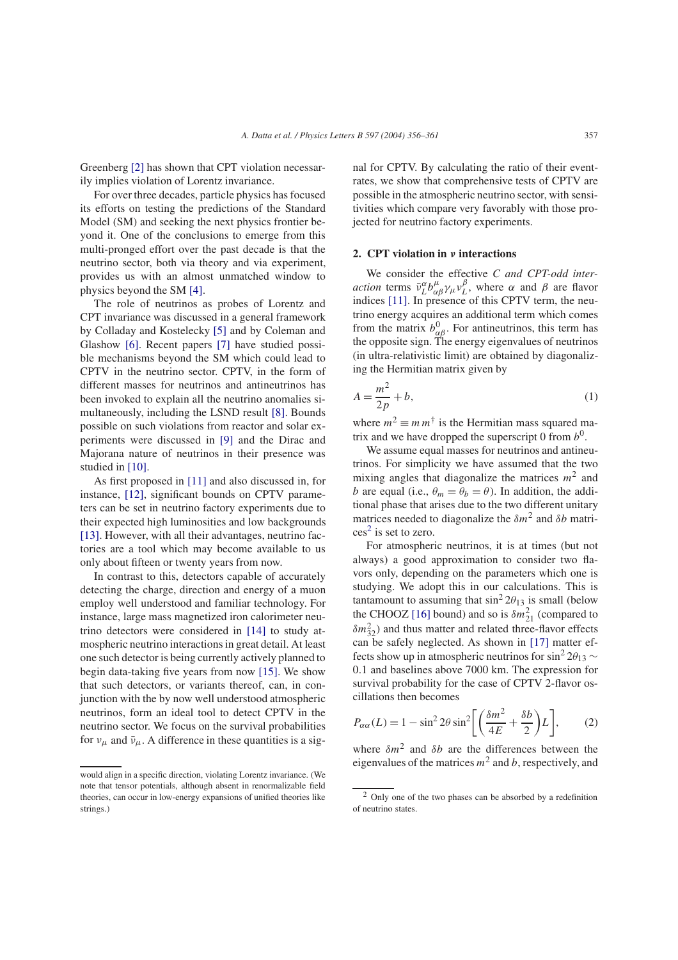Greenberg [2] has shown that CPT violation necessarily implies violation of Lorentz invariance.

For over three decades, particle physics has focused its efforts on testing the predictions of the Standard Model (SM) and seeking the next physics frontier beyond it. One of the conclusions to emerge from this multi-pronged effort over the past decade is that the neutrino sector, both via theory and via experiment, provides us with an almost unmatched window to physics beyond the SM [4].

The role of neutrinos as probes of Lorentz and CPT invariance was discussed in a general framework by Colladay and Kostelecky [5] and by Coleman and Glashow [6]. Recent papers [7] have studied possible mechanisms beyond the SM which could lead to CPTV in the neutrino sector. CPTV, in the form of different masses for neutrinos and antineutrinos has been invoked to explain all the neutrino anomalies simultaneously, including the LSND result [8]. Bounds possible on such violations from reactor and solar experiments were discussed in [9] and the Dirac and Majorana nature of neutrinos in their presence was studied in [10].

As first proposed in [11] and also discussed in, for instance, [12], significant bounds on CPTV parameters can be set in neutrino factory experiments due to their expected high luminosities and low backgrounds [13]. However, with all their advantages, neutrino factories are a tool which may become available to us only about fifteen or twenty years from now.

In contrast to this, detectors capable of accurately detecting the charge, direction and energy of a muon employ well understood and familiar technology. For instance, large mass magnetized iron calorimeter neutrino detectors were considered in [14] to study atmospheric neutrino interactions in great detail. At least one such detector is being currently actively planned to begin data-taking five years from now [15]. We show that such detectors, or variants thereof, can, in conjunction with the by now well understood atmospheric neutrinos, form an ideal tool to detect CPTV in the neutrino sector. We focus on the survival probabilities for  $v_{\mu}$  and  $\bar{v}_{\mu}$ . A difference in these quantities is a sig-

would align in a specific direction, violating Lorentz invariance. (We note that tensor potentials, although absent in renormalizable field theories, can occur in low-energy expansions of unified theories like strings.)

nal for CPTV. By calculating the ratio of their eventrates, we show that comprehensive tests of CPTV are possible in the atmospheric neutrino sector, with sensitivities which compare very favorably with those projected for neutrino factory experiments.

### **2. CPT violation in** ν **interactions**

We consider the effective *C and CPT-odd interaction* terms  $\bar{\nu}_L^{\alpha} b_{\alpha\beta}^{\mu} \gamma_{\mu} \nu_L^{\beta}$  $L^{\rho}$ , where α and β are flavor indices [11]. In presence of this CPTV term, the neutrino energy acquires an additional term which comes from the matrix  $b_{\alpha\beta}^0$ . For antineutrinos, this term has the opposite sign. The energy eigenvalues of neutrinos (in ultra-relativistic limit) are obtained by diagonalizing the Hermitian matrix given by

$$
A = \frac{m^2}{2p} + b,\tag{1}
$$

where  $m^2 \equiv m m^{\dagger}$  is the Hermitian mass squared matrix and we have dropped the superscript 0 from  $b^0$ .

We assume equal masses for neutrinos and antineutrinos. For simplicity we have assumed that the two mixing angles that diagonalize the matrices  $m^2$  and b are equal (i.e.,  $\theta_m = \theta_b = \theta$ ). In addition, the additional phase that arises due to the two different unitary matrices needed to diagonalize the  $\delta m^2$  and  $\delta b$  matri- $\cos^2$  is set to zero.

For atmospheric neutrinos, it is at times (but not always) a good approximation to consider two flavors only, depending on the parameters which one is studying. We adopt this in our calculations. This is tantamount to assuming that  $\sin^2 2\theta_{13}$  is small (below the CHOOZ [16] bound) and so is  $\delta m_{21}^2$  (compared to  $\delta m_{32}^2$ ) and thus matter and related three-flavor effects can be safely neglected. As shown in [17] matter effects show up in atmospheric neutrinos for sin<sup>2</sup> 2 $\theta_{13}$  ~ 0.1 and baselines above 7000 km. The expression for survival probability for the case of CPTV 2-flavor oscillations then becomes

$$
P_{\alpha\alpha}(L) = 1 - \sin^2 2\theta \sin^2 \left[ \left( \frac{\delta m^2}{4E} + \frac{\delta b}{2} \right) L \right],\tag{2}
$$

where  $\delta m^2$  and  $\delta b$  are the differences between the eigenvalues of the matrices  $m^2$  and b, respectively, and

<sup>2</sup> Only one of the two phases can be absorbed by a redefinition of neutrino states.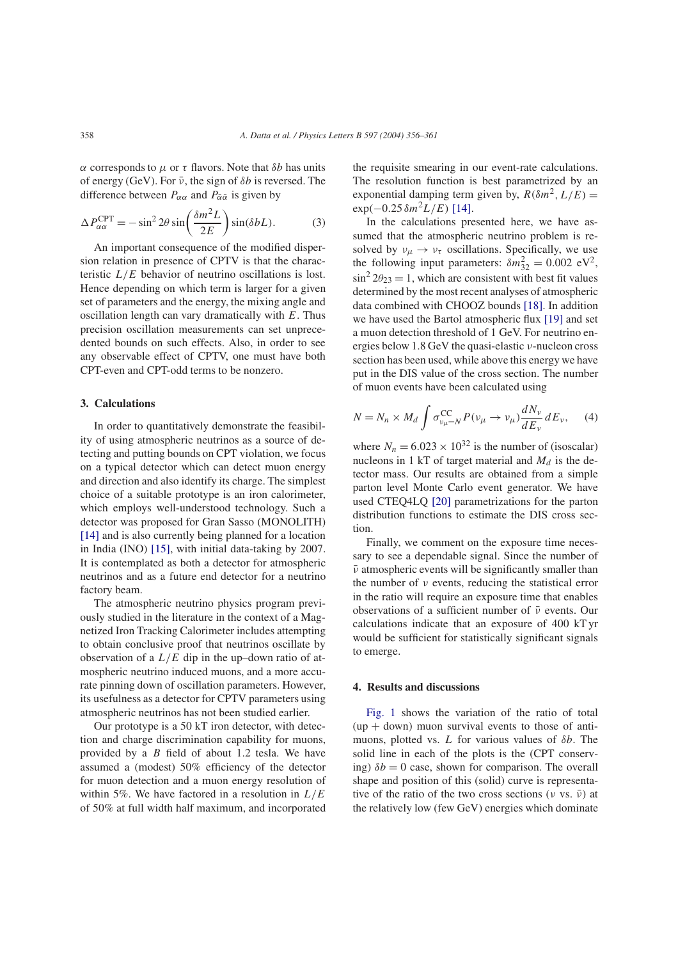α corresponds to  $\mu$  or  $\tau$  flavors. Note that *δb* has units of energy (GeV). For  $\bar{\nu}$ , the sign of  $\delta b$  is reversed. The difference between  $P_{\alpha\alpha}$  and  $P_{\bar{\alpha}\bar{\alpha}}$  is given by

$$
\Delta P_{\alpha\alpha}^{\text{CPT}} = -\sin^2 2\theta \sin\left(\frac{\delta m^2 L}{2E}\right) \sin(\delta b L). \tag{3}
$$

An important consequence of the modified dispersion relation in presence of CPTV is that the characteristic  $L/E$  behavior of neutrino oscillations is lost. Hence depending on which term is larger for a given set of parameters and the energy, the mixing angle and oscillation length can vary dramatically with  $E$ . Thus precision oscillation measurements can set unprecedented bounds on such effects. Also, in order to see any observable effect of CPTV, one must have both CPT-even and CPT-odd terms to be nonzero.

## **3. Calculations**

In order to quantitatively demonstrate the feasibility of using atmospheric neutrinos as a source of detecting and putting bounds on CPT violation, we focus on a typical detector which can detect muon energy and direction and also identify its charge. The simplest choice of a suitable prototype is an iron calorimeter, which employs well-understood technology. Such a detector was proposed for Gran Sasso (MONOLITH) [14] and is also currently being planned for a location in India (INO) [15], with initial data-taking by 2007. It is contemplated as both a detector for atmospheric neutrinos and as a future end detector for a neutrino factory beam.

The atmospheric neutrino physics program previously studied in the literature in the context of a Magnetized Iron Tracking Calorimeter includes attempting to obtain conclusive proof that neutrinos oscillate by observation of a  $L/E$  dip in the up–down ratio of atmospheric neutrino induced muons, and a more accurate pinning down of oscillation parameters. However, its usefulness as a detector for CPTV parameters using atmospheric neutrinos has not been studied earlier.

Our prototype is a 50 kT iron detector, with detection and charge discrimination capability for muons, provided by a  $B$  field of about 1.2 tesla. We have assumed a (modest) 50% efficiency of the detector for muon detection and a muon energy resolution of within 5%. We have factored in a resolution in  $L/E$ of 50% at full width half maximum, and incorporated

the requisite smearing in our event-rate calculations. The resolution function is best parametrized by an exponential damping term given by,  $R(\delta m^2, L/E) =$  $\exp(-0.25 \delta m^2 L/E)$  [14].

In the calculations presented here, we have assumed that the atmospheric neutrino problem is resolved by  $v_{\mu} \rightarrow v_{\tau}$  oscillations. Specifically, we use the following input parameters:  $\delta m_{32}^2 = 0.002 \text{ eV}^2$ ,  $\sin^2 2\theta_{23} = 1$ , which are consistent with best fit values determined by the most recent analyses of atmospheric data combined with CHOOZ bounds [18]. In addition we have used the Bartol atmospheric flux [19] and set a muon detection threshold of 1 GeV. For neutrino energies below 1.8 GeV the quasi-elastic ν-nucleon cross section has been used, while above this energy we have put in the DIS value of the cross section. The number of muon events have been calculated using

$$
N = N_n \times M_d \int \sigma_{\nu_{\mu} - N}^{\rm CC} P(\nu_{\mu} \to \nu_{\mu}) \frac{dN_{\nu}}{dE_{\nu}} dE_{\nu}, \quad (4)
$$

where  $N_n = 6.023 \times 10^{32}$  is the number of (isoscalar) nucleons in 1 kT of target material and  $M_d$  is the detector mass. Our results are obtained from a simple parton level Monte Carlo event generator. We have used CTEQ4LQ [20] parametrizations for the parton distribution functions to estimate the DIS cross section.

Finally, we comment on the exposure time necessary to see a dependable signal. Since the number of  $\bar{\nu}$  atmospheric events will be significantly smaller than the number of  $\nu$  events, reducing the statistical error in the ratio will require an exposure time that enables observations of a sufficient number of  $\bar{\nu}$  events. Our calculations indicate that an exposure of 400 kT yr would be sufficient for statistically significant signals to emerge.

## **4. Results and discussions**

Fig. 1 shows the variation of the ratio of total  $(up + down)$  muon survival events to those of antimuons, plotted vs.  $L$  for various values of  $\delta b$ . The solid line in each of the plots is the (CPT conserving)  $\delta b = 0$  case, shown for comparison. The overall shape and position of this (solid) curve is representative of the ratio of the two cross sections ( $\nu$  vs.  $\bar{\nu}$ ) at the relatively low (few GeV) energies which dominate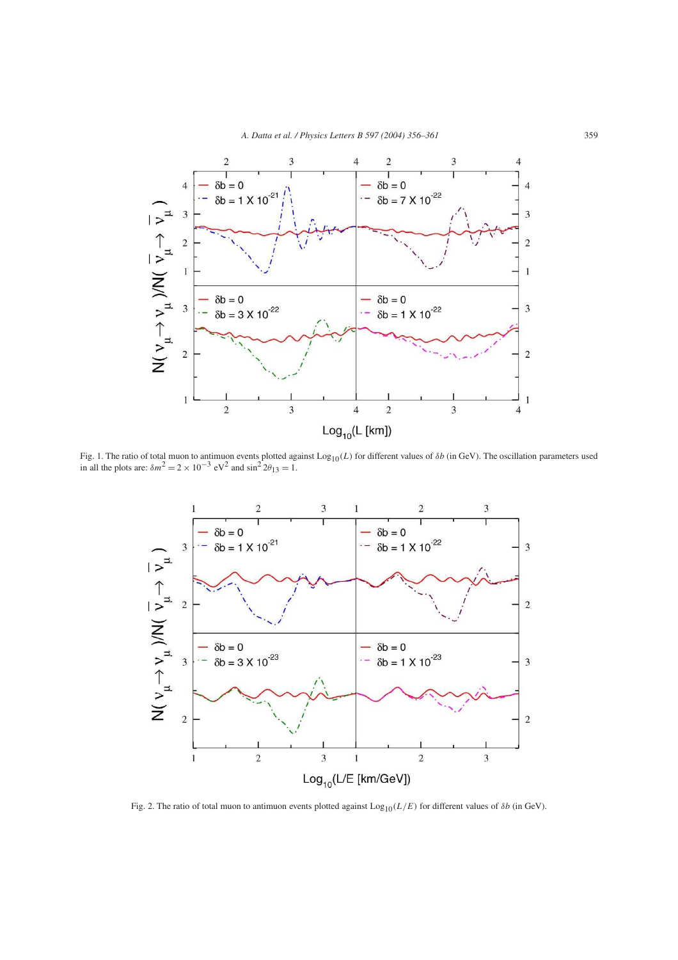

Fig. 1. The ratio of total muon to antimuon events plotted against  $Log_{10}(L)$  for different values of  $\delta b$  (in GeV). The oscillation parameters used in all the plots are:  $\delta m^2 = 2 \times 10^{-3}$  eV<sup>2</sup> and  $sin^2 2\theta_{13} = 1$ .



Fig. 2. The ratio of total muon to antimuon events plotted against  $Log_{10}(L/E)$  for different values of  $\delta b$  (in GeV).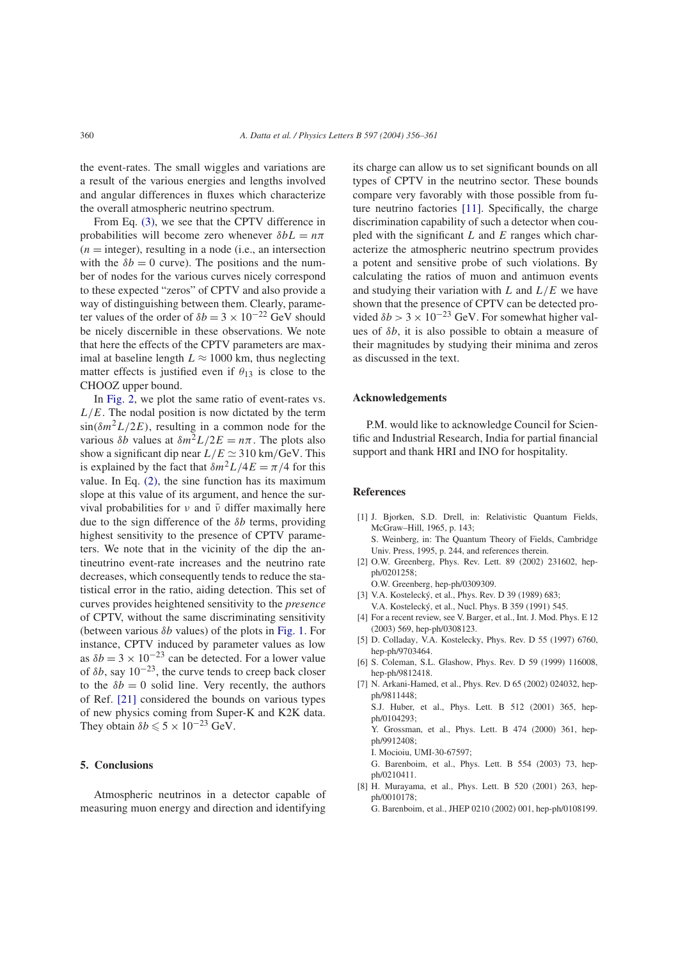the event-rates. The small wiggles and variations are a result of the various energies and lengths involved and angular differences in fluxes which characterize the overall atmospheric neutrino spectrum.

From Eq. (3), we see that the CPTV difference in probabilities will become zero whenever  $\delta b = n\pi$  $(n =$  integer), resulting in a node (i.e., an intersection with the  $\delta b = 0$  curve). The positions and the number of nodes for the various curves nicely correspond to these expected "zeros" of CPTV and also provide a way of distinguishing between them. Clearly, parameter values of the order of  $\delta b = 3 \times 10^{-22}$  GeV should be nicely discernible in these observations. We note that here the effects of the CPTV parameters are maximal at baseline length  $L \approx 1000$  km, thus neglecting matter effects is justified even if  $\theta_{13}$  is close to the CHOOZ upper bound.

In Fig. 2, we plot the same ratio of event-rates vs.  $L/E$ . The nodal position is now dictated by the term  $\sin(\delta m^2 L/2E)$ , resulting in a common node for the various  $\delta b$  values at  $\delta m^2 L/2E = n\pi$ . The plots also show a significant dip near  $L/E \simeq 310 \text{ km/GeV}$ . This is explained by the fact that  $\delta m^2 L/4E = \pi/4$  for this value. In Eq. (2), the sine function has its maximum slope at this value of its argument, and hence the survival probabilities for  $\nu$  and  $\bar{\nu}$  differ maximally here due to the sign difference of the  $\delta b$  terms, providing highest sensitivity to the presence of CPTV parameters. We note that in the vicinity of the dip the antineutrino event-rate increases and the neutrino rate decreases, which consequently tends to reduce the statistical error in the ratio, aiding detection. This set of curves provides heightened sensitivity to the *presence* of CPTV, without the same discriminating sensitivity (between various  $\delta b$  values) of the plots in Fig. 1. For instance, CPTV induced by parameter values as low as  $\delta b = 3 \times 10^{-23}$  can be detected. For a lower value of  $\delta b$ , say  $10^{-23}$ , the curve tends to creep back closer to the  $\delta b = 0$  solid line. Very recently, the authors of Ref. [21] considered the bounds on various types of new physics coming from Super-K and K2K data. They obtain  $\delta b \leq 5 \times 10^{-23}$  GeV.

## **5. Conclusions**

Atmospheric neutrinos in a detector capable of measuring muon energy and direction and identifying

its charge can allow us to set significant bounds on all types of CPTV in the neutrino sector. These bounds compare very favorably with those possible from future neutrino factories [11]. Specifically, the charge discrimination capability of such a detector when coupled with the significant  $L$  and  $E$  ranges which characterize the atmospheric neutrino spectrum provides a potent and sensitive probe of such violations. By calculating the ratios of muon and antimuon events and studying their variation with  $L$  and  $L/E$  we have shown that the presence of CPTV can be detected provided  $\delta b > 3 \times 10^{-23}$  GeV. For somewhat higher values of  $\delta b$ , it is also possible to obtain a measure of their magnitudes by studying their minima and zeros as discussed in the text.

#### **Acknowledgements**

P.M. would like to acknowledge Council for Scientific and Industrial Research, India for partial financial support and thank HRI and INO for hospitality.

#### **References**

- [1] J. Bjorken, S.D. Drell, in: Relativistic Quantum Fields, McGraw–Hill, 1965, p. 143; S. Weinberg, in: The Quantum Theory of Fields, Cambridge Univ. Press, 1995, p. 244, and references therein.
- [2] O.W. Greenberg, Phys. Rev. Lett. 89 (2002) 231602, hepph/0201258;
- O.W. Greenberg, hep-ph/0309309.
- [3] V.A. Kostelecký, et al., Phys. Rev. D 39 (1989) 683; V.A. Kostelecký, et al., Nucl. Phys. B 359 (1991) 545.
- [4] For a recent review, see V. Barger, et al., Int. J. Mod. Phys. E 12 (2003) 569, hep-ph/0308123.
- [5] D. Colladay, V.A. Kostelecky, Phys. Rev. D 55 (1997) 6760, hep-ph/9703464.
- [6] S. Coleman, S.L. Glashow, Phys. Rev. D 59 (1999) 116008, hep-ph/9812418.
- [7] N. Arkani-Hamed, et al., Phys. Rev. D 65 (2002) 024032, hepph/9811448;

S.J. Huber, et al., Phys. Lett. B 512 (2001) 365, hepph/0104293;

Y. Grossman, et al., Phys. Lett. B 474 (2000) 361, hepph/9912408;

I. Mocioiu, UMI-30-67597;

G. Barenboim, et al., Phys. Lett. B 554 (2003) 73, hepph/0210411.

[8] H. Murayama, et al., Phys. Lett. B 520 (2001) 263, hepph/0010178;

G. Barenboim, et al., JHEP 0210 (2002) 001, hep-ph/0108199.